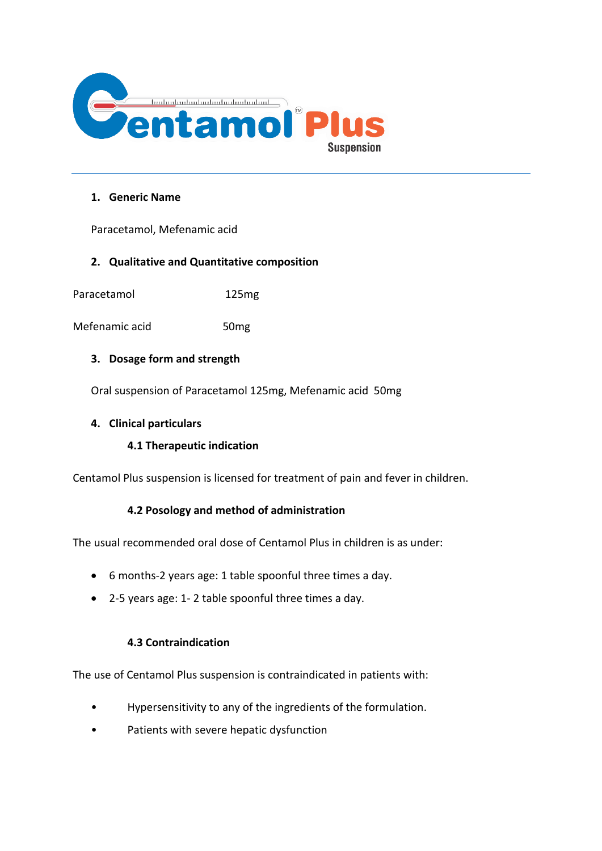

## **1. Generic Name**

Paracetamol, Mefenamic acid

# **2. Qualitative and Quantitative composition**

Paracetamol 125mg

Mefenamic acid 50mg

## **3. Dosage form and strength**

Oral suspension of Paracetamol 125mg, Mefenamic acid 50mg

## **4. Clinical particulars**

#### **4.1 Therapeutic indication**

Centamol Plus suspension is licensed for treatment of pain and fever in children.

# **4.2 Posology and method of administration**

The usual recommended oral dose of Centamol Plus in children is as under:

- 6 months-2 years age: 1 table spoonful three times a day.
- 2-5 years age: 1- 2 table spoonful three times a day.

## **4.3 Contraindication**

The use of Centamol Plus suspension is contraindicated in patients with:

- Hypersensitivity to any of the ingredients of the formulation.
- Patients with severe hepatic dysfunction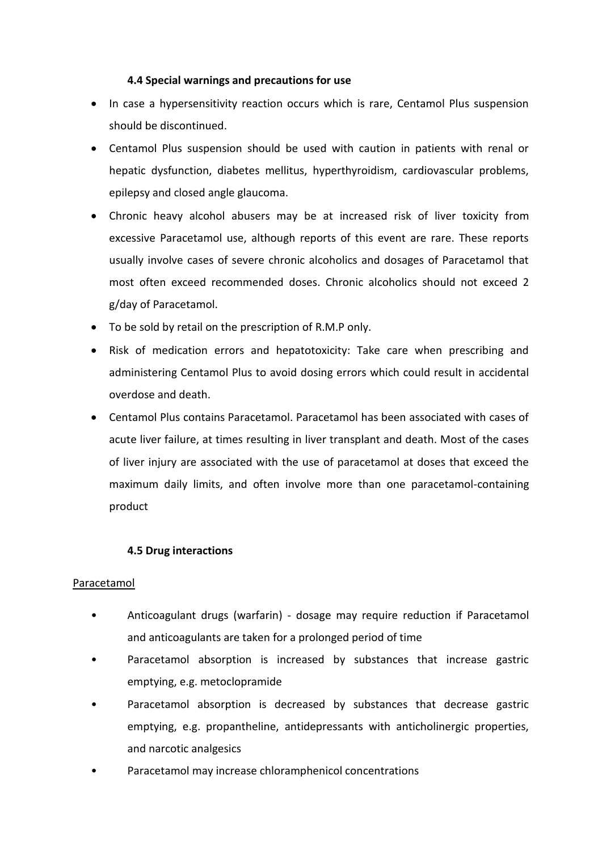## **4.4 Special warnings and precautions for use**

- In case a hypersensitivity reaction occurs which is rare, Centamol Plus suspension should be discontinued.
- Centamol Plus suspension should be used with caution in patients with renal or hepatic dysfunction, diabetes mellitus, hyperthyroidism, cardiovascular problems, epilepsy and closed angle glaucoma.
- Chronic heavy alcohol abusers may be at increased risk of liver toxicity from excessive Paracetamol use, although reports of this event are rare. These reports usually involve cases of severe chronic alcoholics and dosages of Paracetamol that most often exceed recommended doses. Chronic alcoholics should not exceed 2 g/day of Paracetamol.
- To be sold by retail on the prescription of R.M.P only.
- Risk of medication errors and hepatotoxicity: Take care when prescribing and administering Centamol Plus to avoid dosing errors which could result in accidental overdose and death.
- Centamol Plus contains Paracetamol. Paracetamol has been associated with cases of acute liver failure, at times resulting in liver transplant and death. Most of the cases of liver injury are associated with the use of paracetamol at doses that exceed the maximum daily limits, and often involve more than one paracetamol-containing product

# **4.5 Drug interactions**

#### Paracetamol

- Anticoagulant drugs (warfarin) dosage may require reduction if Paracetamol and anticoagulants are taken for a prolonged period of time
- Paracetamol absorption is increased by substances that increase gastric emptying, e.g. metoclopramide
- Paracetamol absorption is decreased by substances that decrease gastric emptying, e.g. propantheline, antidepressants with anticholinergic properties, and narcotic analgesics
- Paracetamol may increase chloramphenicol concentrations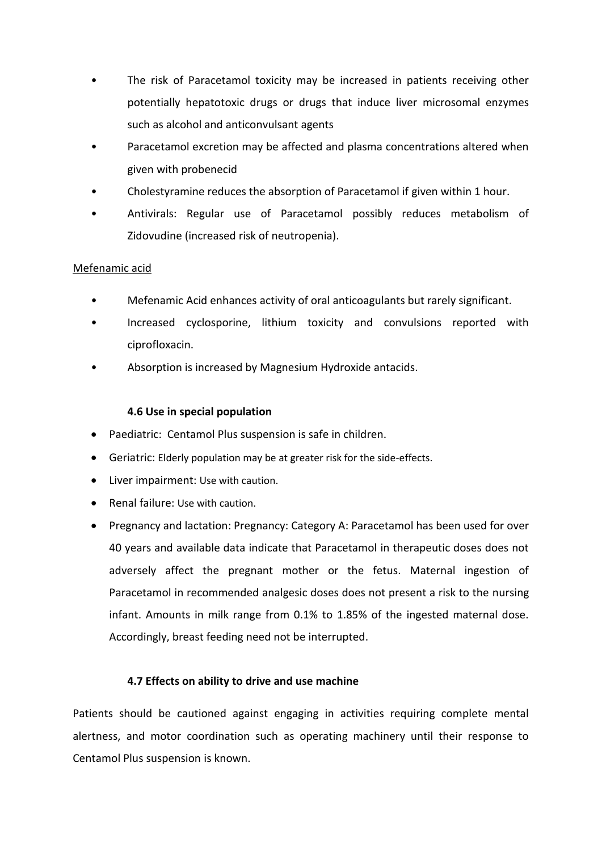- The risk of Paracetamol toxicity may be increased in patients receiving other potentially hepatotoxic drugs or drugs that induce liver microsomal enzymes such as alcohol and anticonvulsant agents
- Paracetamol excretion may be affected and plasma concentrations altered when given with probenecid
- Cholestyramine reduces the absorption of Paracetamol if given within 1 hour.
- Antivirals: Regular use of Paracetamol possibly reduces metabolism of Zidovudine (increased risk of neutropenia).

# Mefenamic acid

- Mefenamic Acid enhances activity of oral anticoagulants but rarely significant.
- Increased cyclosporine, lithium toxicity and convulsions reported with ciprofloxacin.
- Absorption is increased by Magnesium Hydroxide antacids.

## **4.6 Use in special population**

- Paediatric: Centamol Plus suspension is safe in children.
- Geriatric: Elderly population may be at greater risk for the side-effects.
- Liver impairment: Use with caution.
- Renal failure: Use with caution.
- Pregnancy and lactation: Pregnancy: Category A: Paracetamol has been used for over 40 years and available data indicate that Paracetamol in therapeutic doses does not adversely affect the pregnant mother or the fetus. Maternal ingestion of Paracetamol in recommended analgesic doses does not present a risk to the nursing infant. Amounts in milk range from 0.1% to 1.85% of the ingested maternal dose. Accordingly, breast feeding need not be interrupted.

# **4.7 Effects on ability to drive and use machine**

Patients should be cautioned against engaging in activities requiring complete mental alertness, and motor coordination such as operating machinery until their response to Centamol Plus suspension is known.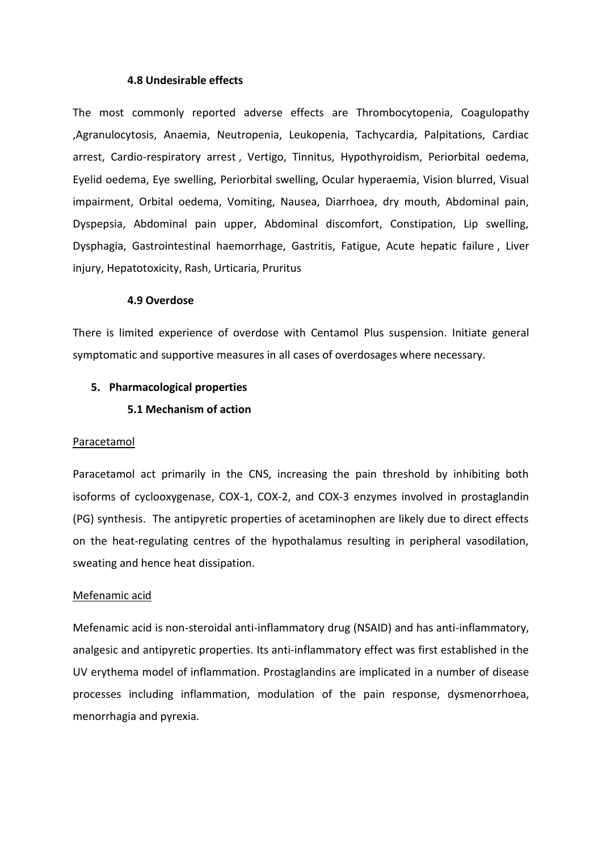#### **4.8 Undesirable effects**

The most commonly reported adverse effects are Thrombocytopenia, Coagulopathy ,Agranulocytosis, Anaemia, Neutropenia, Leukopenia, Tachycardia, Palpitations, Cardiac arrest, Cardio-respiratory arrest , Vertigo, Tinnitus, Hypothyroidism, Periorbital oedema, Eyelid oedema, Eye swelling, Periorbital swelling, Ocular hyperaemia, Vision blurred, Visual impairment, Orbital oedema, Vomiting, Nausea, Diarrhoea, dry mouth, Abdominal pain, Dyspepsia, Abdominal pain upper, Abdominal discomfort, Constipation, Lip swelling, Dysphagia, Gastrointestinal haemorrhage, Gastritis, Fatigue, Acute hepatic failure , Liver injury, Hepatotoxicity, Rash, Urticaria, Pruritus

#### **4.9 Overdose**

There is limited experience of overdose with Centamol Plus suspension. Initiate general symptomatic and supportive measures in all cases of overdosages where necessary.

#### **5. Pharmacological properties**

#### **5.1 Mechanism of action**

#### Paracetamol

Paracetamol act primarily in the CNS, increasing the pain threshold by inhibiting both isoforms of cyclooxygenase, COX-1, COX-2, and COX-3 enzymes involved in prostaglandin (PG) synthesis. The antipyretic properties of acetaminophen are likely due to direct effects on the heat-regulating centres of the hypothalamus resulting in peripheral vasodilation, sweating and hence heat dissipation.

#### Mefenamic acid

Mefenamic acid is non-steroidal anti-inflammatory drug (NSAID) and has anti-inflammatory, analgesic and antipyretic properties. Its anti-inflammatory effect was first established in the UV erythema model of inflammation. Prostaglandins are implicated in a number of disease processes including inflammation, modulation of the pain response, dysmenorrhoea, menorrhagia and pyrexia.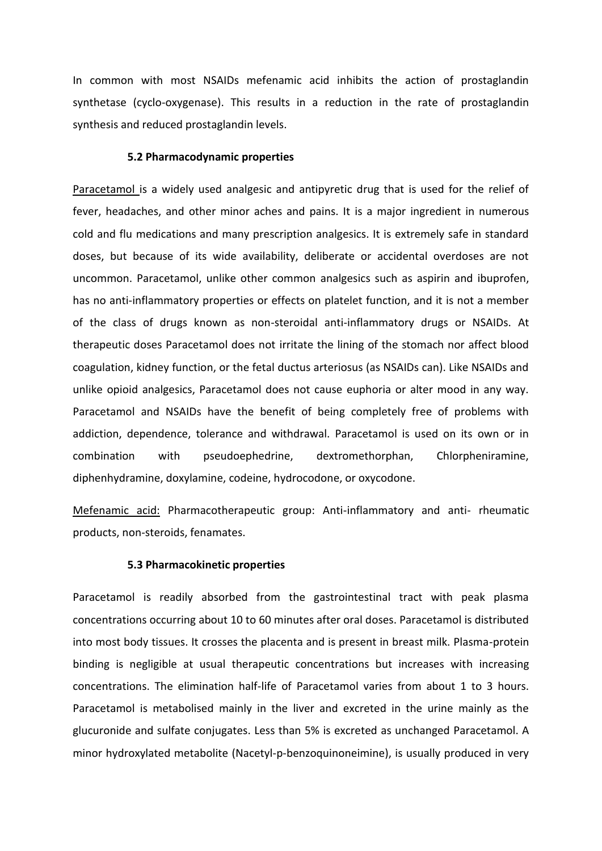In common with most NSAIDs mefenamic acid inhibits the action of prostaglandin synthetase (cyclo-oxygenase). This results in a reduction in the rate of prostaglandin synthesis and reduced prostaglandin levels.

#### **5.2 Pharmacodynamic properties**

Paracetamol is a widely used analgesic and antipyretic drug that is used for the relief of fever, headaches, and other minor aches and pains. It is a major ingredient in numerous cold and flu medications and many prescription analgesics. It is extremely safe in standard doses, but because of its wide availability, deliberate or accidental overdoses are not uncommon. Paracetamol, unlike other common analgesics such as aspirin and ibuprofen, has no anti-inflammatory properties or effects on platelet function, and it is not a member of the class of drugs known as non-steroidal anti-inflammatory drugs or NSAIDs. At therapeutic doses Paracetamol does not irritate the lining of the stomach nor affect blood coagulation, kidney function, or the fetal ductus arteriosus (as NSAIDs can). Like NSAIDs and unlike opioid analgesics, Paracetamol does not cause euphoria or alter mood in any way. Paracetamol and NSAIDs have the benefit of being completely free of problems with addiction, dependence, tolerance and withdrawal. Paracetamol is used on its own or in combination with pseudoephedrine, dextromethorphan, Chlorpheniramine, diphenhydramine, doxylamine, codeine, hydrocodone, or oxycodone.

Mefenamic acid: Pharmacotherapeutic group: Anti-inflammatory and anti- rheumatic products, non-steroids, fenamates.

#### **5.3 Pharmacokinetic properties**

Paracetamol is readily absorbed from the gastrointestinal tract with peak plasma concentrations occurring about 10 to 60 minutes after oral doses. Paracetamol is distributed into most body tissues. It crosses the placenta and is present in breast milk. Plasma-protein binding is negligible at usual therapeutic concentrations but increases with increasing concentrations. The elimination half-life of Paracetamol varies from about 1 to 3 hours. Paracetamol is metabolised mainly in the liver and excreted in the urine mainly as the glucuronide and sulfate conjugates. Less than 5% is excreted as unchanged Paracetamol. A minor hydroxylated metabolite (Nacetyl-p-benzoquinoneimine), is usually produced in very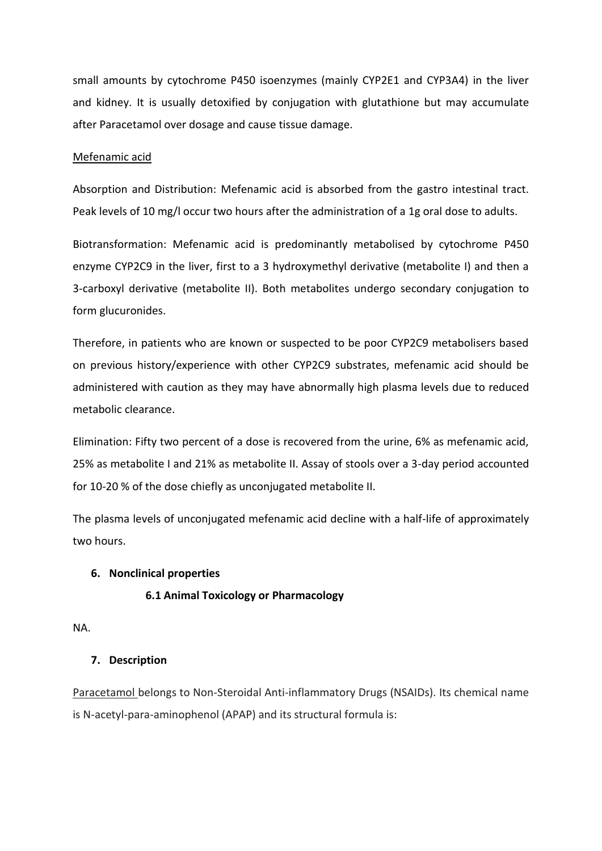small amounts by cytochrome P450 isoenzymes (mainly CYP2E1 and CYP3A4) in the liver and kidney. It is usually detoxified by conjugation with glutathione but may accumulate after Paracetamol over dosage and cause tissue damage.

#### Mefenamic acid

Absorption and Distribution: Mefenamic acid is absorbed from the gastro intestinal tract. Peak levels of 10 mg/l occur two hours after the administration of a 1g oral dose to adults.

Biotransformation: Mefenamic acid is predominantly metabolised by cytochrome P450 enzyme CYP2C9 in the liver, first to a 3 hydroxymethyl derivative (metabolite I) and then a 3-carboxyl derivative (metabolite II). Both metabolites undergo secondary conjugation to form glucuronides.

Therefore, in patients who are known or suspected to be poor CYP2C9 metabolisers based on previous history/experience with other CYP2C9 substrates, mefenamic acid should be administered with caution as they may have abnormally high plasma levels due to reduced metabolic clearance.

Elimination: Fifty two percent of a dose is recovered from the urine, 6% as mefenamic acid, 25% as metabolite I and 21% as metabolite II. Assay of stools over a 3-day period accounted for 10-20 % of the dose chiefly as unconjugated metabolite II.

The plasma levels of unconjugated mefenamic acid decline with a half-life of approximately two hours.

#### **6. Nonclinical properties**

#### **6.1 Animal Toxicology or Pharmacology**

NA.

#### **7. Description**

Paracetamol belongs to Non-Steroidal Anti-inflammatory Drugs (NSAIDs). Its chemical name is N-acetyl-para-aminophenol (APAP) and its structural formula is: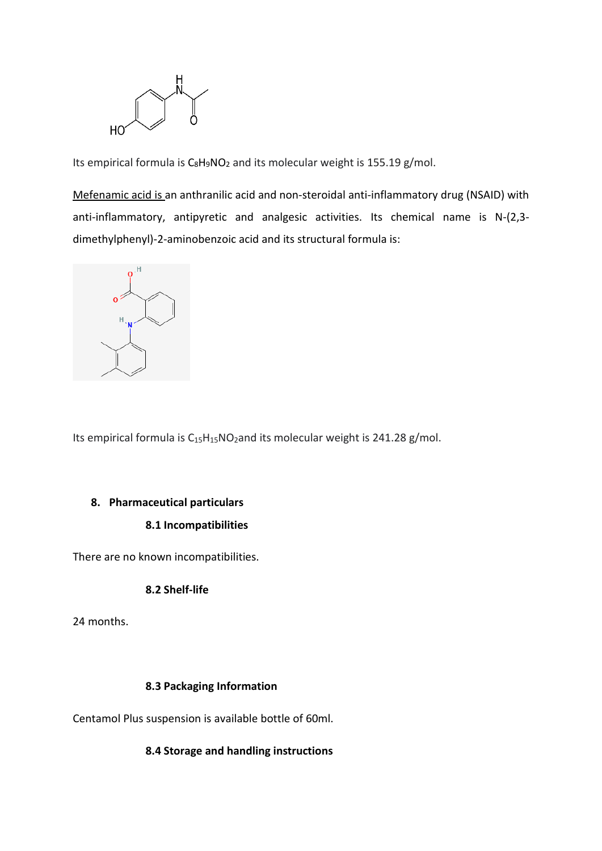

Its empirical formula is  $C_8H_9NO_2$  $C_8H_9NO_2$  $C_8H_9NO_2$  and its molecular weight is 155.19 g/mol.

Mefenamic acid is an anthranilic acid and non-steroidal anti-inflammatory drug (NSAID) with anti-inflammatory, antipyretic and analgesic activities. Its chemical name is N-(2,3 dimethylphenyl)-2-aminobenzoic acid and its structural formula is:



Its empirical formula is  $C_{15}H_{15}NO_2$  and its molecular weight is 241.28 g/mol.

#### **8. Pharmaceutical particulars**

## **8.1 Incompatibilities**

There are no known incompatibilities.

#### **8.2 Shelf-life**

24 months.

# **8.3 Packaging Information**

Centamol Plus suspension is available bottle of 60ml.

# **8.4 Storage and handling instructions**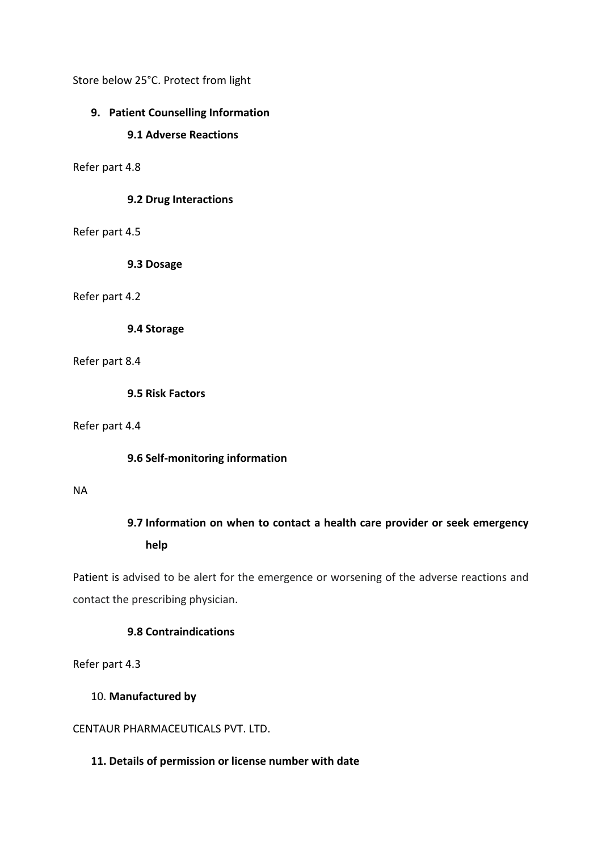Store below 25°C. Protect from light

# **9. Patient Counselling Information**

#### **9.1 Adverse Reactions**

Refer part 4.8

#### **9.2 Drug Interactions**

### Refer part 4.5

**9.3 Dosage**

## Refer part 4.2

**9.4 Storage**

Refer part 8.4

**9.5 Risk Factors**

Refer part 4.4

#### **9.6 Self-monitoring information**

#### NA

# **9.7 Information on when to contact a health care provider or seek emergency help**

Patient is advised to be alert for the emergence or worsening of the adverse reactions and contact the prescribing physician.

## **9.8 Contraindications**

Refer part 4.3

## 10. **Manufactured by**

# CENTAUR PHARMACEUTICALS PVT. LTD.

## **11. Details of permission or license number with date**